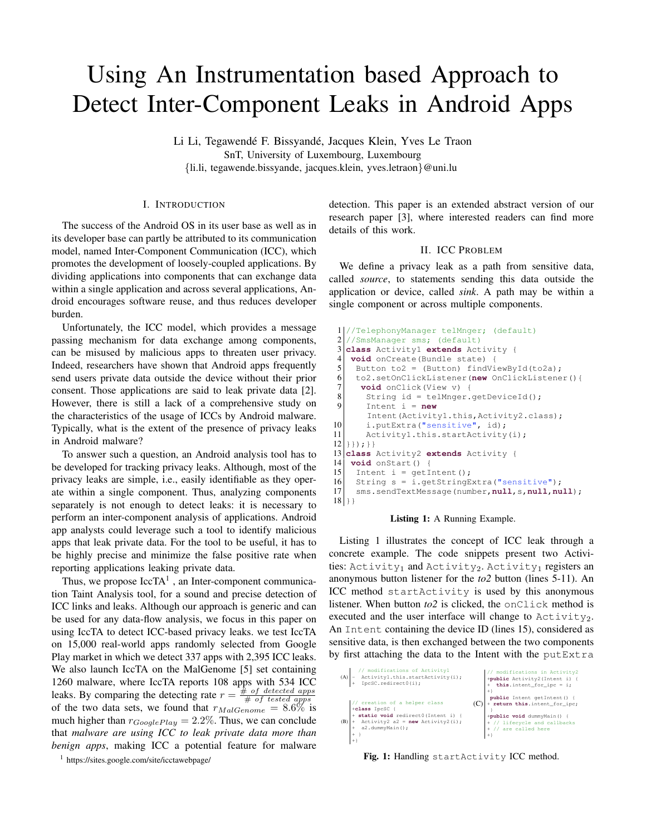# Using An Instrumentation based Approach to Detect Inter-Component Leaks in Android Apps

Li Li, Tegawendé F. Bissyandé, Jacques Klein, Yves Le Traon SnT, University of Luxembourg, Luxembourg {li.li, tegawende.bissyande, jacques.klein, yves.letraon}@uni.lu

## I. INTRODUCTION

The success of the Android OS in its user base as well as in its developer base can partly be attributed to its communication model, named Inter-Component Communication (ICC), which promotes the development of loosely-coupled applications. By dividing applications into components that can exchange data within a single application and across several applications, Android encourages software reuse, and thus reduces developer burden.

Unfortunately, the ICC model, which provides a message passing mechanism for data exchange among components, can be misused by malicious apps to threaten user privacy. Indeed, researchers have shown that Android apps frequently send users private data outside the device without their prior consent. Those applications are said to leak private data [\[2\]](#page-1-0). However, there is still a lack of a comprehensive study on the characteristics of the usage of ICCs by Android malware. Typically, what is the extent of the presence of privacy leaks in Android malware?

To answer such a question, an Android analysis tool has to be developed for tracking privacy leaks. Although, most of the privacy leaks are simple, i.e., easily identifiable as they operate within a single component. Thus, analyzing components separately is not enough to detect leaks: it is necessary to perform an inter-component analysis of applications. Android app analysts could leverage such a tool to identify malicious apps that leak private data. For the tool to be useful, it has to be highly precise and minimize the false positive rate when reporting applications leaking private data.

Thus, we propose  $IccTA<sup>1</sup>$  $IccTA<sup>1</sup>$  $IccTA<sup>1</sup>$ , an Inter-component communication Taint Analysis tool, for a sound and precise detection of ICC links and leaks. Although our approach is generic and can be used for any data-flow analysis, we focus in this paper on using IccTA to detect ICC-based privacy leaks. we test IccTA on 15,000 real-world apps randomly selected from Google Play market in which we detect 337 apps with 2,395 ICC leaks. We also launch IccTA on the MalGenome [\[5\]](#page-1-1) set containing 1260 malware, where IccTA reports 108 apps with 534 ICC leaks. By comparing the detecting rate  $r = \frac{H}{\frac{H}{\pi}} \frac{\text{of detected apps}}{\text{of tested apps}}$ of the two data sets, we found that  $r_{MalGenome} = 8.6\%$  is much higher than  $r_{Google Play} = 2.2\%$ . Thus, we can conclude that *malware are using ICC to leak private data more than benign apps*, making ICC a potential feature for malware

<span id="page-0-0"></span><sup>1</sup> <https://sites.google.com/site/icctawebpage/>

detection. This paper is an extended abstract version of our research paper [\[3\]](#page-1-2), where interested readers can find more details of this work.

## II. ICC PROBLEM

We define a privacy leak as a path from sensitive data, called *source*, to statements sending this data outside the application or device, called *sink*. A path may be within a single component or across multiple components.

```
1 //TelephonyManager telMnger; (default)<br>2 //SmsManager sms: (default)
  2 //SmsManager sms; (default)
3 class Activity1 extends Activity {
4 void onCreate(Bundle state) {
5 Button to2 = (Button) findViewById(to2a):
6 to2.setOnClickListener(new OnClickListener(){
      void onClick(View v) {
8 String id = telMnger.getDeviceId();<br>9 Thient i = new
        9 Intent i = new
        Intent(Activity1.this,Activity2.class);
10 i.putExtra("sensitive", id);<br>11 Activity1.this.startActivity
        Activity1.this.startActivity(i);
12 } } } ; } }
13 class Activity2 extends Activity {
14 void onStart() {
15 Intent i = getInternet();
16 String s = i.getStringExtract("sensitive");<br>17 sms.sendTextMessage(number.null.s.null.nu
     17 sms.sendTextMessage(number,null,s,null,null);
18 }}
```
#### Listing 1: A Running Example.

Listing [1](#page-0-1) illustrates the concept of ICC leak through a concrete example. The code snippets present two Activities: Activity<sub>1</sub> and Activity<sub>2</sub>. Activity<sub>1</sub> registers an anonymous button listener for the *to2* button (lines 5-11). An ICC method startActivity is used by this anonymous listener. When button *to*2 is clicked, the onClick method is executed and the user interface will change to  $\text{Activity}_2$ . An Intent containing the device ID (lines 15), considered as sensitive data, is then exchanged between the two components by first attaching the data to the Intent with the putExtra

<span id="page-0-2"></span>

Fig. 1: Handling startActivity ICC method.